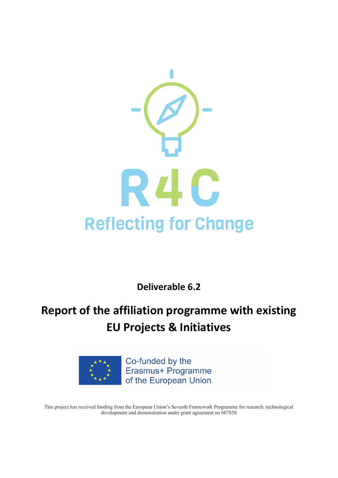

**Deliverable 6.2**

# **Report of the affiliation programme with existing EU Projects & Initiatives**



Co-funded by the Erasmus+ Programme of the European Union

This project has received funding from the European Union's Seventh Framework Programme for research, technological development and demonstration under grant agreement no 607858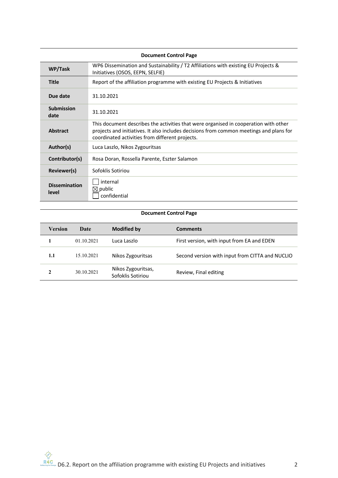| <b>Document Control Page</b>  |                                                                                                                                                                                                                                    |  |
|-------------------------------|------------------------------------------------------------------------------------------------------------------------------------------------------------------------------------------------------------------------------------|--|
| WP/Task                       | WP6 Dissemination and Sustainability / T2 Affiliations with existing EU Projects &<br>Initiatives (OSOS, EEPN, SELFIE)                                                                                                             |  |
| <b>Title</b>                  | Report of the affiliation programme with existing EU Projects & Initiatives                                                                                                                                                        |  |
| Due date                      | 31.10.2021                                                                                                                                                                                                                         |  |
| <b>Submission</b><br>date     | 31.10.2021                                                                                                                                                                                                                         |  |
| Abstract                      | This document describes the activities that were organised in cooperation with other<br>projects and initiatives. It also includes decisions from common meetings and plans for<br>coordinated activities from different projects. |  |
| Author(s)                     | Luca Laszlo, Nikos Zygouritsas                                                                                                                                                                                                     |  |
| Contributor(s)                | Rosa Doran, Rossella Parente, Eszter Salamon                                                                                                                                                                                       |  |
| Reviewer(s)                   | Sofoklis Sotiriou                                                                                                                                                                                                                  |  |
| <b>Dissemination</b><br>level | internal<br>$\boxtimes$ public<br>confidential                                                                                                                                                                                     |  |

# **Document Control Page**

| <b>Version</b> | Date       | Modified by                             | <b>Comments</b>                                 |
|----------------|------------|-----------------------------------------|-------------------------------------------------|
|                | 01.10.2021 | Luca Laszlo                             | First version, with input from EA and EDEN      |
| 1.1            | 15.10.2021 | Nikos Zygouritsas                       | Second version with input from CITTA and NUCLIO |
| 2              | 30.10.2021 | Nikos Zygouritsas,<br>Sofoklis Sotiriou | Review, Final editing                           |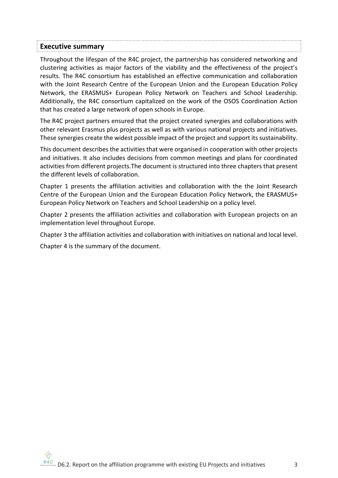# **Executive summary**

Throughout the lifespan of the R4C project, the partnership has considered networking and clustering activities as major factors of the viability and the effectiveness of the project's results. The R4C consortium has established an effective communication and collaboration with the Joint Research Centre of the European Union and the European Education Policy Network, the ERASMUS+ European Policy Network on Teachers and School Leadership. Additionally, the R4C consortium capitalized on the work of the OSOS Coordination Action that has created a large network of open schools in Europe.

The R4C project partners ensured that the project created synergies and collaborations with other relevant Erasmus plus projects as well as with various national projects and initiatives. These synergies create the widest possible impact of the project and support its sustainability.

This document describes the activities that were organised in cooperation with other projects and initiatives. It also includes decisions from common meetings and plans for coordinated activities from different projects.The document is structured into three chapters that present the different levels of collaboration.

Chapter 1 presents the affiliation activities and collaboration with the the Joint Research Centre of the European Union and the European Education Policy Network, the ERASMUS+ European Policy Network on Teachers and School Leadership on a policy level.

Chapter 2 presents the affiliation activities and collaboration with European projects on an implementation level throughout Europe.

Chapter 3 the affiliation activities and collaboration with initiatives on national and local level.

Chapter 4 is the summary of the document.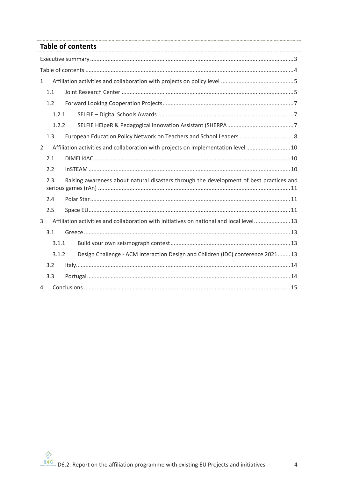|              | <b>Table of contents</b>                                                                 |  |
|--------------|------------------------------------------------------------------------------------------|--|
|              |                                                                                          |  |
|              |                                                                                          |  |
| $\mathbf{1}$ |                                                                                          |  |
| 1.1          |                                                                                          |  |
| 1.2          |                                                                                          |  |
|              | 1.2.1                                                                                    |  |
|              | 1.2.2                                                                                    |  |
| 1.3          | European Education Policy Network on Teachers and School Leaders  8                      |  |
| 2            | Affiliation activities and collaboration with projects on implementation level  10       |  |
| 2.1          |                                                                                          |  |
| 2.2          |                                                                                          |  |
| 2.3          | Raising awareness about natural disasters through the development of best practices and  |  |
| 2.4          |                                                                                          |  |
| 2.5          |                                                                                          |  |
| 3            | Affiliation activities and collaboration with initiatives on national and local level 13 |  |
| 3.1          |                                                                                          |  |
|              | 3.1.1                                                                                    |  |
|              | Design Challenge - ACM Interaction Design and Children (IDC) conference 202113<br>3.1.2  |  |
| 3.2          |                                                                                          |  |
| 3.3          |                                                                                          |  |
| 4            |                                                                                          |  |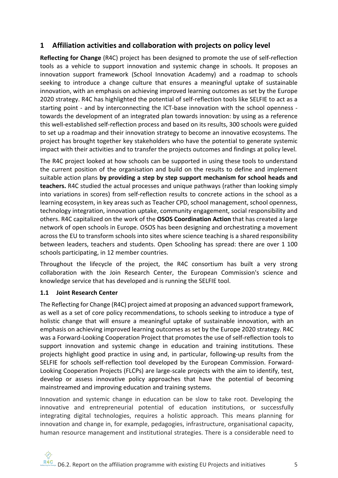## **1 Affiliation activities and collaboration with projects on policy level**

**Reflecting for Change** (R4C) project has been designed to promote the use of self-reflection tools as a vehicle to support innovation and systemic change in schools. It proposes an innovation support framework (School Innovation Academy) and a roadmap to schools seeking to introduce a change culture that ensures a meaningful uptake of sustainable innovation, with an emphasis on achieving improved learning outcomes as set by the Europe 2020 strategy. R4C has highlighted the potential of self-reflection tools like SELFIE to act as a starting point - and by interconnecting the ICT-base innovation with the school openness towards the development of an integrated plan towards innovation: by using as a reference this well-established self-reflection process and based on its results, 300 schools were guided to set up a roadmap and their innovation strategy to become an innovative ecosystems. The project has brought together key stakeholders who have the potential to generate systemic impact with their activities and to transfer the projects outcomes and findings at policy level.

The R4C project looked at how schools can be supported in using these tools to understand the current position of the organisation and build on the results to define and implement suitable action plans **by providing a step by step support mechanism for school heads and teachers.** R4C studied the actual processes and unique pathways (rather than looking simply into variations in scores) from self-reflection results to concrete actions in the school as a learning ecosystem, in key areas such as Teacher CPD, school management, school openness, technology integration, innovation uptake, community engagement, social responsibility and others. R4C capitalized on the work of the **OSOS Coordination Action** that has created a large network of open schools in Europe. OSOS has been designing and orchestrating a movement across the EU to transform schools into sites where science teaching is a shared responsibility between leaders, teachers and students. Open Schooling has spread: there are over 1 100 schools participating, in 12 member countries.

Throughout the lifecycle of the project, the R4C consortium has built a very strong collaboration with the Join Research Center, the European Commission's science and knowledge service that has developed and is running the SELFIE tool.

### **1.1 Joint Research Center**

The Reflecting for Change (R4C) project aimed at proposing an advanced support framework, as well as a set of core policy recommendations, to schools seeking to introduce a type of holistic change that will ensure a meaningful uptake of sustainable innovation, with an emphasis on achieving improved learning outcomes as set by the Europe 2020 strategy. R4C was a Forward-Looking Cooperation Project that promotes the use of self-reflection tools to support innovation and systemic change in education and training institutions. These projects highlight good practice in using and, in particular, following-up results from the SELFIE for schools self-reflection tool developed by the European Commission. Forward-Looking Cooperation Projects (FLCPs) are large-scale projects with the aim to identify, test, develop or assess innovative policy approaches that have the potential of becoming mainstreamed and improving education and training systems.

Innovation and systemic change in education can be slow to take root. Developing the innovative and entrepreneurial potential of education institutions, or successfully integrating digital technologies, requires a holistic approach. This means planning for innovation and change in, for example, pedagogies, infrastructure, organisational capacity, human resource management and institutional strategies. There is a considerable need to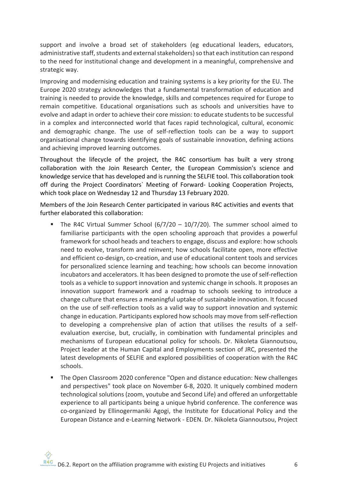support and involve a broad set of stakeholders (eg educational leaders, educators, administrative staff, students and external stakeholders) so that each institution can respond to the need for institutional change and development in a meaningful, comprehensive and strategic way.

Improving and modernising education and training systems is a key priority for the EU. The Europe 2020 strategy acknowledges that a fundamental transformation of education and training is needed to provide the knowledge, skills and competences required for Europe to remain competitive. Educational organisations such as schools and universities have to evolve and adapt in order to achieve their core mission: to educate students to be successful in a complex and interconnected world that faces rapid technological, cultural, economic and demographic change. The use of self-reflection tools can be a way to support organisational change towards identifying goals of sustainable innovation, defining actions and achieving improved learning outcomes.

Throughout the lifecycle of the project, the R4C consortium has built a very strong collaboration with the Join Research Center, the European Commission's science and knowledge service that has developed and is running the SELFIE tool. This collaboration took off during the Project Coordinators` Meeting of Forward- Looking Cooperation Projects, which took place on Wednesday 12 and Thursday 13 February 2020.

Members of the Join Research Center participated in various R4C activities and events that further elaborated this collaboration:

- The R4C Virtual Summer School (6/7/20  $10/7/20$ ). The summer school aimed to familiarise participants with the open schooling approach that provides a powerful framework for school heads and teachers to engage, discuss and explore: how schools need to evolve, transform and reinvent; how schools facilitate open, more effective and efficient co-design, co-creation, and use of educational content tools and services for personalized science learning and teaching; how schools can become innovation incubators and accelerators. It has been designed to promote the use of self-reflection tools as a vehicle to support innovation and systemic change in schools. It proposes an innovation support framework and a roadmap to schools seeking to introduce a change culture that ensures a meaningful uptake of sustainable innovation. It focused on the use of self-reflection tools as a valid way to support innovation and systemic change in education. Participants explored how schools may move from self-reflection to developing a comprehensive plan of action that utilises the results of a selfevaluation exercise, but, crucially, in combination with fundamental principles and mechanisms of European educational policy for schools. Dr. Nikoleta Giannoutsou, Project leader at the Human Capital and Employments section of JRC, presented the latest developments of SELFIE and explored possibilities of cooperation with the R4C schools.
- § The Open Classroom 2020 conference "Open and distance education: New challenges and perspectives" took place on November 6-8, 2020. It uniquely combined modern technological solutions (zoom, youtube and Second Life) and offered an unforgettable experience to all participants being a unique hybrid conference. The conference was co-organized by Ellinogermaniki Agogi, the Institute for Educational Policy and the European Distance and e-Learning Network - EDEN. Dr. Nikoleta Giannoutsou, Project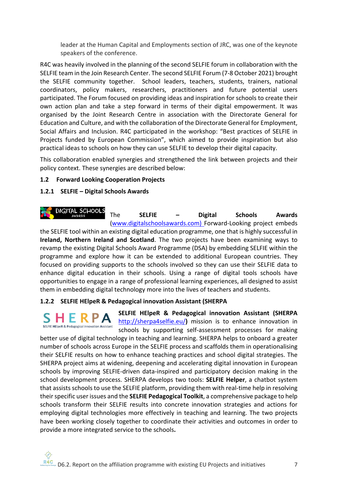leader at the Human Capital and Employments section of JRC, was one of the keynote speakers of the conference.

R4C was heavily involved in the planning of the second SELFIE forum in collaboration with the SELFIE team in the Join Research Center. The second SELFIE Forum (7-8 October 2021) brought the SELFIE community together. School leaders, teachers, students, trainers, national coordinators, policy makers, researchers, practitioners and future potential users participated. The Forum focused on providing ideas and inspiration for schools to create their own action plan and take a step forward in terms of their digital empowerment. It was organised by the Joint Research Centre in association with the Directorate General for Education and Culture, and with the collaboration of the Directorate General for Employment, Social Affairs and Inclusion. R4C participated in the workshop: "Best practices of SELFIE in Projects funded by European Commission", which aimed to provide inspiration but also practical ideas to schools on how they can use SELFIE to develop their digital capacity.

This collaboration enabled synergies and strengthened the link between projects and their policy context. These synergies are described below:

### **1.2 Forward Looking Cooperation Projects**

## **1.2.1 SELFIE – Digital Schools Awards**

DIGITAL SCHOOLS The **SELFIE – Digital Schools Awards** (www.digitalschoolsawards.com) Forward-Looking project embeds the SELFIE tool within an existing digital education programme, one that is highly successful in **Ireland, Northern Ireland and Scotland**. The two projects have been examining ways to revamp the existing Digital Schools Award Programme (DSA) by embedding SELFIE within the programme and explore how it can be extended to additional European countries. They focused on providing supports to the schools involved so they can use their SELFIE data to enhance digital education in their schools. Using a range of digital tools schools have opportunities to engage in a range of professional learning experiences, all designed to assist them in embedding digital technology more into the lives of teachers and students.

### **1.2.2 SELFIE HElpeR & Pedagogical innovation Assistant (SHERPA**

**SELFIE HElpeR & Pedagogical innovation Assistant (SHERPA**  http://sherpa4selfie.eu/**)** mission is to enhance innovation in schools by supporting self-assessment processes for making

better use of digital technology in teaching and learning. SHERPA helps to onboard a greater number of schools across Europe in the SELFIE process and scaffolds them in operationalising their SELFIE results on how to enhance teaching practices and school digital strategies. The SHERPA project aims at widening, deepening and accelerating digital innovation in European schools by improving SELFIE-driven data-inspired and participatory decision making in the school development process. SHERPA develops two tools: **SELFIE Helper**, a chatbot system that assists schools to use the SELFIE platform, providing them with real-time help in resolving their specific user issues and the **SELFIE Pedagogical Toolkit**, a comprehensive package to help schools transform their SELFIE results into concrete innovation strategies and actions for employing digital technologies more effectively in teaching and learning. The two projects have been working closely together to coordinate their activities and outcomes in order to provide a more integrated service to the schools**.**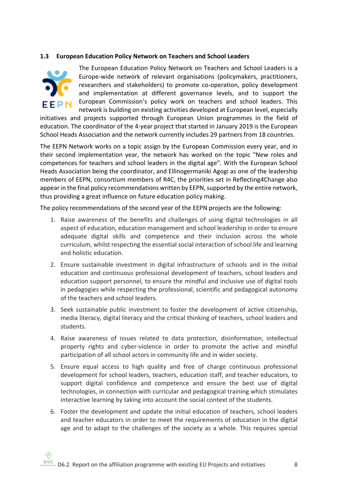#### **1.3 European Education Policy Network on Teachers and School Leaders**



The European Education Policy Network on Teachers and School Leaders is a Europe-wide network of relevant organisations (policymakers, practitioners, researchers and stakeholders) to promote co-operation, policy development and implementation at different governance levels, and to support the European Commission's policy work on teachers and school leaders. This network is building on existing activities developed at European level, especially

initiatives and projects supported through European Union programmes in the field of education. The coordinator of the 4-year project that started in January 2019 is the European School Heads Association and the network currently includes 29 partners from 18 countries.

The EEPN Network works on a topic assign by the European Commission every year, and in their second implementation year, the network has worked on the topic "New roles and competences for teachers and school leaders in the digital age". With the European School Heads Association being the coordinator, and Ellinogermaniki Agogi as one of the leadership members of EEPN, consortium members of R4C, the priorities set in Reflecting4Change also appear in the final policy recommendations written by EEPN, supported by the entire network, thus providing a great influence on future education policy making.

The policy recommendations of the second year of the EEPN projects are the following:

- 1. Raise awareness of the benefits and challenges of using digital technologies in all aspect of education, education management and school leadership in order to ensure adequate digital skills and competence and their inclusion across the whole curriculum, whilst respecting the essential social interaction of school life and learning and holistic education.
- 2. Ensure sustainable investment in digital infrastructure of schools and in the initial education and continuous professional development of teachers, school leaders and education support personnel, to ensure the mindful and inclusive use of digital tools in pedagogies while respecting the professional, scientific and pedagogical autonomy of the teachers and school leaders.
- 3. Seek sustainable public investment to foster the development of active citizenship, media literacy, digital literacy and the critical thinking of teachers, school leaders and students.
- 4. Raise awareness of issues related to data protection, disinformation, intellectual property rights and cyber-violence in order to promote the active and mindful participation of all school actors in community life and in wider society.
- 5. Ensure equal access to high quality and free of charge continuous professional development for school leaders, teachers, education staff, and teacher educators, to support digital confidence and competence and ensure the best use of digital technologies, in connection with curricular and pedagogical training which stimulates interactive learning by taking into account the social context of the students.
- 6. Foster the development and update the initial education of teachers, school leaders and teacher educators in order to meet the requirements of education in the digital age and to adapt to the challenges of the society as a whole. This requires special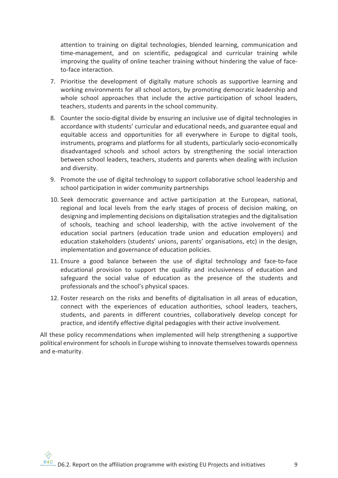attention to training on digital technologies, blended learning, communication and time-management, and on scientific, pedagogical and curricular training while improving the quality of online teacher training without hindering the value of faceto-face interaction.

- 7. Prioritise the development of digitally mature schools as supportive learning and working environments for all school actors, by promoting democratic leadership and whole school approaches that include the active participation of school leaders, teachers, students and parents in the school community.
- 8. Counter the socio-digital divide by ensuring an inclusive use of digital technologies in accordance with students' curricular and educational needs, and guarantee equal and equitable access and opportunities for all everywhere in Europe to digital tools, instruments, programs and platforms for all students, particularly socio-economically disadvantaged schools and school actors by strengthening the social interaction between school leaders, teachers, students and parents when dealing with inclusion and diversity.
- 9. Promote the use of digital technology to support collaborative school leadership and school participation in wider community partnerships
- 10. Seek democratic governance and active participation at the European, national, regional and local levels from the early stages of process of decision making, on designing and implementing decisions on digitalisation strategies and the digitalisation of schools, teaching and school leadership, with the active involvement of the education social partners (education trade union and education employers) and education stakeholders (students' unions, parents' organisations, etc) in the design, implementation and governance of education policies.
- 11. Ensure a good balance between the use of digital technology and face-to-face educational provision to support the quality and inclusiveness of education and safeguard the social value of education as the presence of the students and professionals and the school's physical spaces.
- 12. Foster research on the risks and benefits of digitalisation in all areas of education, connect with the experiences of education authorities, school leaders, teachers, students, and parents in different countries, collaboratively develop concept for practice, and identify effective digital pedagogies with their active involvement.

All these policy recommendations when implemented will help strengthening a supportive political environment for schools in Europe wishing to innovate themselves towards openness and e-maturity.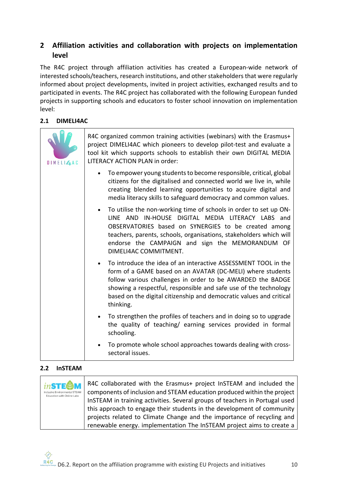# **2 Affiliation activities and collaboration with projects on implementation level**

The R4C project through affiliation activities has created a European-wide network of interested schools/teachers, research institutions, and other stakeholders that were regularly informed about project developments, invited in project activities, exchanged results and to participated in events. The R4C project has collaborated with the following European funded projects in supporting schools and educators to foster school innovation on implementation level:

## **2.1 DIMELI4AC**

| DIMEL <sub>4</sub> AC | R4C organized common training activities (webinars) with the Erasmus+<br>project DIMELI4AC which pioneers to develop pilot-test and evaluate a<br>tool kit which supports schools to establish their own DIGITAL MEDIA<br>LITERACY ACTION PLAN in order:                                                                                           |
|-----------------------|----------------------------------------------------------------------------------------------------------------------------------------------------------------------------------------------------------------------------------------------------------------------------------------------------------------------------------------------------|
|                       | To empower young students to become responsible, critical, global<br>citizens for the digitalised and connected world we live in, while<br>creating blended learning opportunities to acquire digital and<br>media literacy skills to safeguard democracy and common values.                                                                       |
|                       | To utilise the non-working time of schools in order to set up ON-<br>LINE AND IN-HOUSE DIGITAL MEDIA LITERACY LABS and<br>OBSERVATORIES based on SYNERGIES to be created among<br>teachers, parents, schools, organisations, stakeholders which will<br>endorse the CAMPAIGN and sign the MEMORANDUM OF<br>DIMELI4AC COMMITMENT.                   |
|                       | To introduce the idea of an interactive ASSESSMENT TOOL in the<br>form of a GAME based on an AVATAR (DC-MELI) where students<br>follow various challenges in order to be AWARDED the BADGE<br>showing a respectful, responsible and safe use of the technology<br>based on the digital citizenship and democratic values and critical<br>thinking. |
|                       | To strengthen the profiles of teachers and in doing so to upgrade<br>the quality of teaching/ earning services provided in formal<br>schooling.                                                                                                                                                                                                    |
|                       | To promote whole school approaches towards dealing with cross-<br>sectoral issues.                                                                                                                                                                                                                                                                 |

## **2.2 InSTEAM**

| <i>inSTE@M</i><br>Inclusive Environmental STEAM<br>Education with Online Labs | R4C collaborated with the Erasmus+ project InSTEAM and included the<br>components of inclusion and STEAM education produced within the project<br>InSTEAM in training activities. Several groups of teachers in Portugal used |
|-------------------------------------------------------------------------------|-------------------------------------------------------------------------------------------------------------------------------------------------------------------------------------------------------------------------------|
|                                                                               | this approach to engage their students in the development of community                                                                                                                                                        |
|                                                                               | projects related to Climate Change and the importance of recycling and                                                                                                                                                        |
|                                                                               | renewable energy. implementation The InSTEAM project aims to create a                                                                                                                                                         |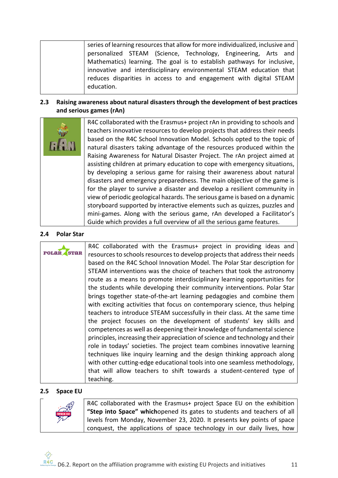| series of learning resources that allow for more individualized, inclusive and |
|--------------------------------------------------------------------------------|
| personalized STEAM (Science, Technology, Engineering, Arts and                 |
| Mathematics) learning. The goal is to establish pathways for inclusive,        |
| innovative and interdisciplinary environmental STEAM education that            |
| reduces disparities in access to and engagement with digital STEAM             |
| education.                                                                     |

## **2.3 Raising awareness about natural disasters through the development of best practices and serious games (rAn)**

|  | R4C collaborated with the Erasmus+ project rAn in providing to schools and  |
|--|-----------------------------------------------------------------------------|
|  | teachers innovative resources to develop projects that address their needs  |
|  | based on the R4C School Innovation Model. Schools opted to the topic of     |
|  | natural disasters taking advantage of the resources produced within the     |
|  | Raising Awareness for Natural Disaster Project. The rAn project aimed at    |
|  | assisting children at primary education to cope with emergency situations,  |
|  | by developing a serious game for raising their awareness about natural      |
|  | disasters and emergency preparedness. The main objective of the game is     |
|  | for the player to survive a disaster and develop a resilient community in   |
|  | view of periodic geological hazards. The serious game is based on a dynamic |
|  | storyboard supported by interactive elements such as quizzes, puzzles and   |
|  | mini-games. Along with the serious game, rAn developed a Facilitator's      |
|  | Guide which provides a full overview of all the serious game features.      |

#### **2.4 Polar Star**

|              | R4C collaborated with the Erasmus+ project in providing ideas and             |
|--------------|-------------------------------------------------------------------------------|
| <b>POLAR</b> | resources to schools resources to develop projects that address their needs   |
|              | based on the R4C School Innovation Model. The Polar Star description for      |
|              | STEAM interventions was the choice of teachers that took the astronomy        |
|              | route as a means to promote interdisciplinary learning opportunities for      |
|              | the students while developing their community interventions. Polar Star       |
|              | brings together state-of-the-art learning pedagogies and combine them         |
|              | with exciting activities that focus on contemporary science, thus helping     |
|              | teachers to introduce STEAM successfully in their class. At the same time     |
|              | the project focuses on the development of students' key skills and            |
|              | competences as well as deepening their knowledge of fundamental science       |
|              | principles, increasing their appreciation of science and technology and their |
|              | role in todays' societies. The project team combines innovative learning      |
|              | techniques like inquiry learning and the design thinking approach along       |
|              | with other cutting-edge educational tools into one seamless methodology,      |
|              | that will allow teachers to shift towards a student-centered type of          |
|              | teaching.                                                                     |

#### **2.5 Space EU**

|               | R4C collaborated with the Erasmus+ project Space EU on the exhibition   |
|---------------|-------------------------------------------------------------------------|
| $\frac{1}{2}$ | "Step into Space" whichopened its gates to students and teachers of all |
|               | levels from Monday, November 23, 2020. It presents key points of space  |
|               | conquest, the applications of space technology in our daily lives, how  |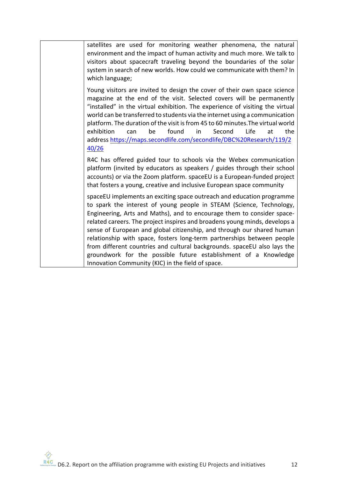| satellites are used for monitoring weather phenomena, the natural<br>environment and the impact of human activity and much more. We talk to<br>visitors about spacecraft traveling beyond the boundaries of the solar<br>system in search of new worlds. How could we communicate with them? In<br>which language;                                                                                                                                                                                                                                                                                                                                            |
|---------------------------------------------------------------------------------------------------------------------------------------------------------------------------------------------------------------------------------------------------------------------------------------------------------------------------------------------------------------------------------------------------------------------------------------------------------------------------------------------------------------------------------------------------------------------------------------------------------------------------------------------------------------|
| Young visitors are invited to design the cover of their own space science<br>magazine at the end of the visit. Selected covers will be permanently<br>"installed" in the virtual exhibition. The experience of visiting the virtual<br>world can be transferred to students via the internet using a communication<br>platform. The duration of the visit is from 45 to 60 minutes. The virtual world<br>found<br>Second<br>Life<br>the<br>exhibition<br>be<br>in<br>at<br>can<br>address https://maps.secondlife.com/secondlife/DBC%20Research/119/2<br>40/26                                                                                                |
| R4C has offered guided tour to schools via the Webex communication<br>platform (invited by educators as speakers / guides through their school<br>accounts) or via the Zoom platform. spaceEU is a European-funded project<br>that fosters a young, creative and inclusive European space community                                                                                                                                                                                                                                                                                                                                                           |
| spaceEU implements an exciting space outreach and education programme<br>to spark the interest of young people in STEAM (Science, Technology,<br>Engineering, Arts and Maths), and to encourage them to consider space-<br>related careers. The project inspires and broadens young minds, develops a<br>sense of European and global citizenship, and through our shared human<br>relationship with space, fosters long-term partnerships between people<br>from different countries and cultural backgrounds. spaceEU also lays the<br>groundwork for the possible future establishment of a Knowledge<br>Innovation Community (KIC) in the field of space. |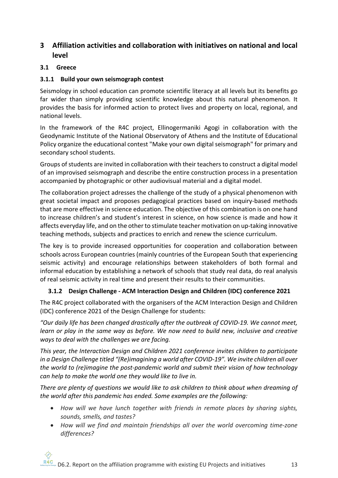# **3 Affiliation activities and collaboration with initiatives on national and local level**

## **3.1 Greece**

## **3.1.1 Build your own seismograph contest**

Seismology in school education can promote scientific literacy at all levels but its benefits go far wider than simply providing scientific knowledge about this natural phenomenon. It provides the basis for informed action to protect lives and property on local, regional, and national levels.

In the framework of the R4C project, Ellinogermaniki Agogi in collaboration with the Geodynamic Institute of the National Observatory of Athens and the Institute of Educational Policy organize the educational contest "Make your own digital seismograph" for primary and secondary school students.

Groups of students are invited in collaboration with their teachers to construct a digital model of an improvised seismograph and describe the entire construction process in a presentation accompanied by photographic or other audiovisual material and a digital model.

The collaboration project adresses the challenge of the study of a physical phenomenon with great societal impact and proposes pedagogical practices based on inquiry-based methods that are more effective in science education. The objective of this combination is on one hand to increase children's and student's interest in science, on how science is made and how it affects everyday life, and on the other to stimulate teacher motivation on up-taking innovative teaching methods, subjects and practices to enrich and renew the science curriculum.

The key is to provide increased opportunities for cooperation and collaboration between schools across European countries (mainly countries of the European South that experiencing seismic activity) and encourage relationships between stakeholders of both formal and informal education by establishing a network of schools that study real data, do real analysis of real seismic activity in real time and present their results to their communities.

## **3.1.2 Design Challenge - ACM Interaction Design and Children (IDC) conference 2021**

The R4C project collaborated with the organisers of the ACM Interaction Design and Children (IDC) conference 2021 of the Design Challenge for students:

*"Our daily life has been changed drastically after the outbreak of COVID-19. We cannot meet, learn or play in the same way as before. We now need to build new, inclusive and creative ways to deal with the challenges we are facing.*

*This year, the Interaction Design and Children 2021 conference invites children to participate in a Design Challenge titled "(Re)imagining a world after COVID-19". We invite children all over the world to (re)imagine the post-pandemic world and submit their vision of how technology can help to make the world one they would like to live in.*

*There are plenty of questions we would like to ask children to think about when dreaming of the world after this pandemic has ended. Some examples are the following:*

- *How will we have lunch together with friends in remote places by sharing sights, sounds, smells, and tastes?*
- *How will we find and maintain friendships all over the world overcoming time-zone differences?*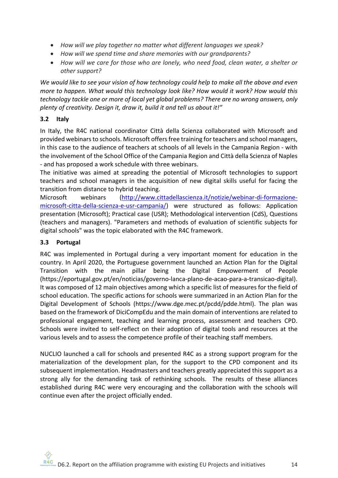- *How will we play together no matter what different languages we speak?*
- *How will we spend time and share memories with our grandparents?*
- *How will we care for those who are lonely, who need food, clean water, a shelter or other support?*

*We would like to see your vision of how technology could help to make all the above and even more to happen. What would this technology look like? How would it work? How would this technology tackle one or more of local yet global problems? There are no wrong answers, only plenty of creativity. Design it, draw it, build it and tell us about it!"*

### **3.2 Italy**

In Italy, the R4C national coordinator Città della Scienza collaborated with Microsoft and provided webinars to schools. Microsoft offers free training for teachers and school managers, in this case to the audience of teachers at schools of all levels in the Campania Region - with the involvement of the School Office of the Campania Region and Città della Scienza of Naples - and has proposed a work schedule with three webinars.

The initiative was aimed at spreading the potential of Microsoft technologies to support teachers and school managers in the acquisition of new digital skills useful for facing the transition from distance to hybrid teaching.

Microsoft webinars (http://www.cittadellascienza.it/notizie/webinar-di-formazionemicrosoft-citta-della-scienza-e-usr-campania/) were structured as follows: Application presentation (Microsoft); Practical case (USR); Methodological intervention (CdS), Questions (teachers and managers). "Parameters and methods of evaluation of scientific subjects for digital schools" was the topic elaborated with the R4C framework.

## **3.3 Portugal**

R4C was implemented in Portugal during a very important moment for education in the country. In April 2020, the Portuguese government launched an Action Plan for the Digital Transition with the main pillar being the Digital Empowerment of People (https://eportugal.gov.pt/en/noticias/governo-lanca-plano-de-acao-para-a-transicao-digital). It was composed of 12 main objectives among which a specific list of measures for the field of school education. The specific actions for schools were summarized in an Action Plan for the Digital Development of Schools (https://www.dge.mec.pt/pcdd/pdde.html). The plan was based on the framework of DiciCompEdu and the main domain of interventions are related to professional engagement, teaching and learning process, assessment and teachers CPD. Schools were invited to self-reflect on their adoption of digital tools and resources at the various levels and to assess the competence profile of their teaching staff members.

NUCLIO launched a call for schools and presented R4C as a strong support program for the materialization of the development plan, for the support to the CPD component and its subsequent implementation. Headmasters and teachers greatly appreciated this support as a strong ally for the demanding task of rethinking schools. The results of these alliances established during R4C were very encouraging and the collaboration with the schools will continue even after the project officially ended.